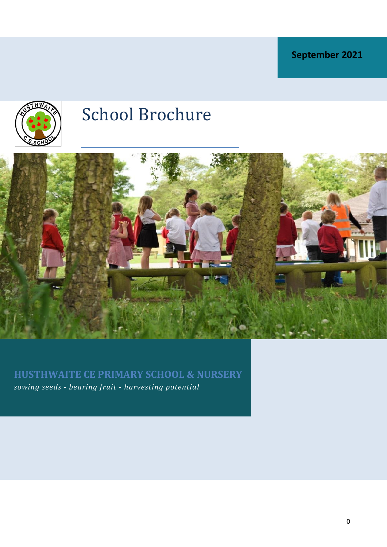**September 2021**



# School Brochure



**HUSTHWAITE CE PRIMARY SCHOOL & NURSERY** *sowing seeds - bearing fruit - harvesting potential*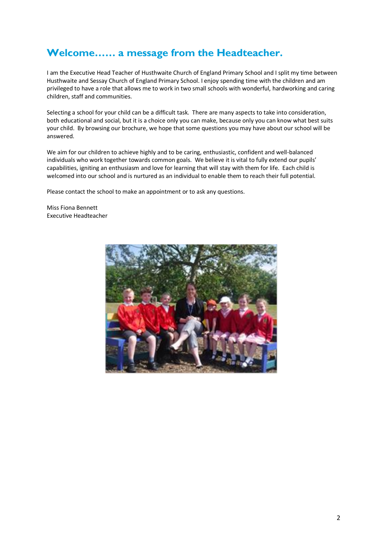### **Welcome…… a message from the Headteacher.**

I am the Executive Head Teacher of Husthwaite Church of England Primary School and I split my time between Husthwaite and Sessay Church of England Primary School. I enjoy spending time with the children and am privileged to have a role that allows me to work in two small schools with wonderful, hardworking and caring children, staff and communities.

Selecting a school for your child can be a difficult task. There are many aspects to take into consideration, both educational and social, but it is a choice only you can make, because only you can know what best suits your child. By browsing our brochure, we hope that some questions you may have about our school will be answered.

We aim for our children to achieve highly and to be caring, enthusiastic, confident and well-balanced individuals who work together towards common goals. We believe it is vital to fully extend our pupils' capabilities, igniting an enthusiasm and love for learning that will stay with them for life. Each child is welcomed into our school and is nurtured as an individual to enable them to reach their full potential.

Please contact the school to make an appointment or to ask any questions.

Miss Fiona Bennett Executive Headteacher

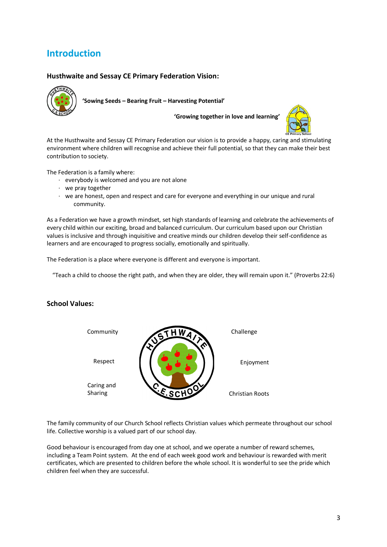### **Introduction**

#### **Husthwaite and Sessay CE Primary Federation Vision:**



**'Sowing Seeds – Bearing Fruit – Harvesting Potential'**

**'Growing together in love and learning'**



At the Husthwaite and Sessay CE Primary Federation our vision is to provide a happy, caring and stimulating environment where children will recognise and achieve their full potential, so that they can make their best contribution to society.

The Federation is a family where:

- · everybody is welcomed and you are not alone
- · we pray together
- · we are honest, open and respect and care for everyone and everything in our unique and rural community.

As a Federation we have a growth mindset, set high standards of learning and celebrate the achievements of every child within our exciting, broad and balanced curriculum. Our curriculum based upon our Christian values is inclusive and through inquisitive and creative minds our children develop their self-confidence as learners and are encouraged to progress socially, emotionally and spiritually.

The Federation is a place where everyone is different and everyone is important.

"Teach a child to choose the right path, and when they are older, they will remain upon it." (Proverbs 22:6)

#### **School Values:**



The family community of our Church School reflects Christian values which permeate throughout our school life. Collective worship is a valued part of our school day.

Good behaviour is encouraged from day one at school, and we operate a number of reward schemes, including a Team Point system. At the end of each week good work and behaviour is rewarded with merit certificates, which are presented to children before the whole school. It is wonderful to see the pride which children feel when they are successful.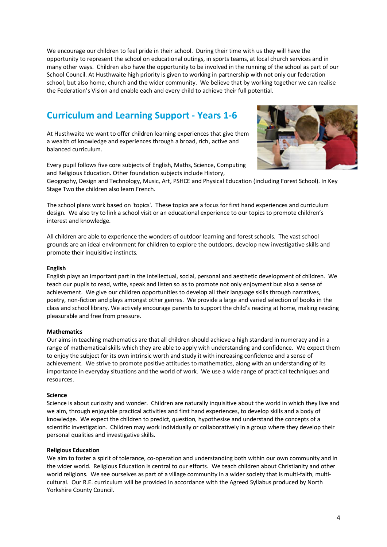We encourage our children to feel pride in their school. During their time with us they will have the opportunity to represent the school on educational outings, in sports teams, at local church services and in many other ways. Children also have the opportunity to be involved in the running of the school as part of our School Council. At Husthwaite high priority is given to working in partnership with not only our federation school, but also home, church and the wider community. We believe that by working together we can realise the Federation's Vision and enable each and every child to achieve their full potential.

## **Curriculum and Learning Support - Years 1-6**

At Husthwaite we want to offer children learning experiences that give them a wealth of knowledge and experiences through a broad, rich, active and balanced curriculum.



Every pupil follows five core subjects of English, Maths, Science, Computing and Religious Education. Other foundation subjects include History,

Geography, Design and Technology, Music, Art, PSHCE and Physical Education (including Forest School). In Key Stage Two the children also learn French.

The school plans work based on 'topics'. These topics are a focus for first hand experiences and curriculum design. We also try to link a school visit or an educational experience to our topics to promote children's interest and knowledge.

All children are able to experience the wonders of outdoor learning and forest schools. The vast school grounds are an ideal environment for children to explore the outdoors, develop new investigative skills and promote their inquisitive instincts.

#### **English**

English plays an important part in the intellectual, social, personal and aesthetic development of children. We teach our pupils to read, write, speak and listen so as to promote not only enjoyment but also a sense of achievement. We give our children opportunities to develop all their language skills through narratives, poetry, non-fiction and plays amongst other genres. We provide a large and varied selection of books in the class and school library. We actively encourage parents to support the child's reading at home, making reading pleasurable and free from pressure.

#### **Mathematics**

Our aims in teaching mathematics are that all children should achieve a high standard in numeracy and in a range of mathematical skills which they are able to apply with understanding and confidence. We expect them to enjoy the subject for its own intrinsic worth and study it with increasing confidence and a sense of achievement. We strive to promote positive attitudes to mathematics, along with an understanding of its importance in everyday situations and the world of work. We use a wide range of practical techniques and resources.

#### **Science**

Science is about curiosity and wonder. Children are naturally inquisitive about the world in which they live and we aim, through enjoyable practical activities and first hand experiences, to develop skills and a body of knowledge. We expect the children to predict, question, hypothesise and understand the concepts of a scientific investigation. Children may work individually or collaboratively in a group where they develop their personal qualities and investigative skills.

#### **Religious Education**

We aim to foster a spirit of tolerance, co-operation and understanding both within our own community and in the wider world. Religious Education is central to our efforts. We teach children about Christianity and other world religions. We see ourselves as part of a village community in a wider society that is multi-faith, multicultural. Our R.E. curriculum will be provided in accordance with the Agreed Syllabus produced by North Yorkshire County Council.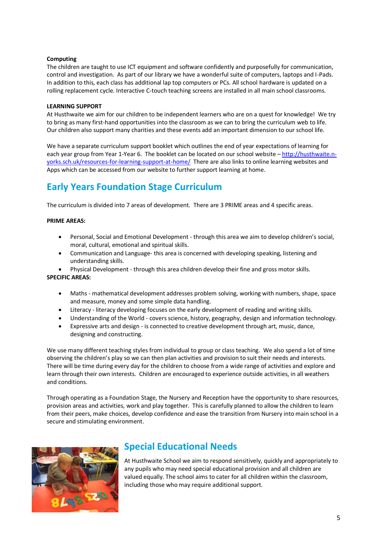#### **Computing**

The children are taught to use ICT equipment and software confidently and purposefully for communication, control and investigation. As part of our library we have a wonderful suite of computers, laptops and I-Pads. In addition to this, each class has additional lap top computers or PCs. All school hardware is updated on a rolling replacement cycle. Interactive C-touch teaching screens are installed in all main school classrooms.

#### **LEARNING SUPPORT**

At Husthwaite we aim for our children to be independent learners who are on a quest for knowledge! We try to bring as many first-hand opportunities into the classroom as we can to bring the curriculum web to life. Our children also support many charities and these events add an important dimension to our school life.

We have a separate curriculum support booklet which outlines the end of year expectations of learning for each year group from Year 1-Year 6. The booklet can be located on our school website – [http://husthwaite.n](http://husthwaite.n-yorks.sch.uk/resources-for-learning-support-at-home/)[yorks.sch.uk/resources-for-learning-support-at-home/](http://husthwaite.n-yorks.sch.uk/resources-for-learning-support-at-home/) There are also links to online learning websites and Apps which can be accessed from our website to further support learning at home.

### **Early Years Foundation Stage Curriculum**

The curriculum is divided into 7 areas of development. There are 3 PRIME areas and 4 specific areas.

#### **PRIME AREAS:**

- Personal, Social and Emotional Development through this area we aim to develop children's social, moral, cultural, emotional and spiritual skills.
- Communication and Language- this area is concerned with developing speaking, listening and understanding skills.
- Physical Development through this area children develop their fine and gross motor skills. **SPECIFIC AREAS:**
	- Maths mathematical development addresses problem solving, working with numbers, shape, space and measure, money and some simple data handling.
	- Literacy literacy developing focuses on the early development of reading and writing skills.
	- Understanding of the World covers science, history, geography, design and information technology.
	- Expressive arts and design is connected to creative development through art, music, dance, designing and constructing.

We use many different teaching styles from individual to group or class teaching. We also spend a lot of time observing the children's play so we can then plan activities and provision to suit their needs and interests. There will be time during every day for the children to choose from a wide range of activities and explore and learn through their own interests. Children are encouraged to experience outside activities, in all weathers and conditions.

Through operating as a Foundation Stage, the Nursery and Reception have the opportunity to share resources, provision areas and activities, work and play together. This is carefully planned to allow the children to learn from their peers, make choices, develop confidence and ease the transition from Nursery into main school in a secure and stimulating environment.



### **Special Educational Needs**

At Husthwaite School we aim to respond sensitively, quickly and appropriately to any pupils who may need special educational provision and all children are valued equally. The school aims to cater for all children within the classroom, including those who may require additional support.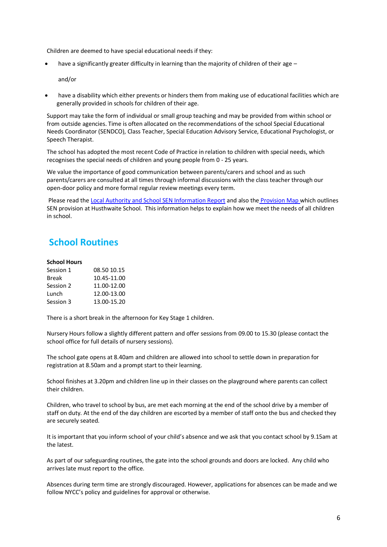Children are deemed to have special educational needs if they:

have a significantly greater difficulty in learning than the majority of children of their age  $-$ 

and/or

• have a disability which either prevents or hinders them from making use of educational facilities which are generally provided in schools for children of their age.

Support may take the form of individual or small group teaching and may be provided from within school or from outside agencies. Time is often allocated on the recommendations of the school Special Educational Needs Coordinator (SENDCO), Class Teacher, Special Education Advisory Service, Educational Psychologist, or Speech Therapist.

The school has adopted the most recent Code of Practice in relation to children with special needs, which recognises the special needs of children and young people from 0 - 25 years.

We value the importance of good communication between parents/carers and school and as such parents/carers are consulted at all times through informal discussions with the class teacher through our open-door policy and more formal regular review meetings every term.

Please read th[e Local Authority and School SEN Information Report](http://husthwaite.n-yorks.sch.uk/data/documents/SEN-information-report-july-18.pdf) and also the [Provision Map w](http://husthwaite.n-yorks.sch.uk/data/documents/Husthwaite-CE-Primary-School-Whole-School-Provision-Map.docx)hich outlines SEN provision at Husthwaite School. This information helps to explain how we meet the needs of all children in school.

### **School Routines**

#### **School Hours**

| 08.50 10.15 |
|-------------|
| 10.45-11.00 |
| 11.00-12.00 |
| 12.00-13.00 |
| 13.00-15.20 |
|             |

There is a short break in the afternoon for Key Stage 1 children.

Nursery Hours follow a slightly different pattern and offer sessions from 09.00 to 15.30 (please contact the school office for full details of nursery sessions).

The school gate opens at 8.40am and children are allowed into school to settle down in preparation for registration at 8.50am and a prompt start to their learning.

School finishes at 3.20pm and children line up in their classes on the playground where parents can collect their children.

Children, who travel to school by bus, are met each morning at the end of the school drive by a member of staff on duty. At the end of the day children are escorted by a member of staff onto the bus and checked they are securely seated.

It is important that you inform school of your child's absence and we ask that you contact school by 9.15am at the latest.

As part of our safeguarding routines, the gate into the school grounds and doors are locked. Any child who arrives late must report to the office.

Absences during term time are strongly discouraged. However, applications for absences can be made and we follow NYCC's policy and guidelines for approval or otherwise.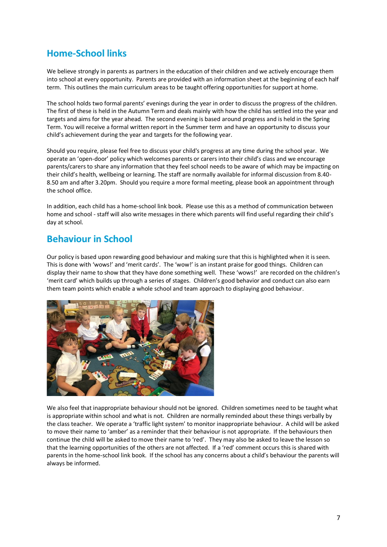### **Home-School links**

We believe strongly in parents as partners in the education of their children and we actively encourage them into school at every opportunity. Parents are provided with an information sheet at the beginning of each half term. This outlines the main curriculum areas to be taught offering opportunities for support at home.

The school holds two formal parents' evenings during the year in order to discuss the progress of the children. The first of these is held in the Autumn Term and deals mainly with how the child has settled into the year and targets and aims for the year ahead. The second evening is based around progress and is held in the Spring Term. You will receive a formal written report in the Summer term and have an opportunity to discuss your child's achievement during the year and targets for the following year.

Should you require, please feel free to discuss your child's progress at any time during the school year. We operate an 'open-door' policy which welcomes parents or carers into their child's class and we encourage parents/carers to share any information that they feel school needs to be aware of which may be impacting on their child's health, wellbeing or learning. The staff are normally available for informal discussion from 8.40- 8.50 am and after 3.20pm. Should you require a more formal meeting, please book an appointment through the school office.

In addition, each child has a home-school link book. Please use this as a method of communication between home and school - staff will also write messages in there which parents will find useful regarding their child's day at school.

### **Behaviour in School**

Our policy is based upon rewarding good behaviour and making sure that this is highlighted when it is seen. This is done with 'wows!' and 'merit cards'. The 'wow!' is an instant praise for good things. Children can display their name to show that they have done something well. These 'wows!' are recorded on the children's 'merit card' which builds up through a series of stages. Children's good behavior and conduct can also earn them team points which enable a whole school and team approach to displaying good behaviour.



We also feel that inappropriate behaviour should not be ignored. Children sometimes need to be taught what is appropriate within school and what is not. Children are normally reminded about these things verbally by the class teacher. We operate a 'traffic light system' to monitor inappropriate behaviour. A child will be asked to move their name to 'amber' as a reminder that their behaviour is not appropriate. If the behaviours then continue the child will be asked to move their name to 'red'. They may also be asked to leave the lesson so that the learning opportunities of the others are not affected. If a 'red' comment occurs this is shared with parents in the home-school link book. If the school has any concerns about a child's behaviour the parents will always be informed.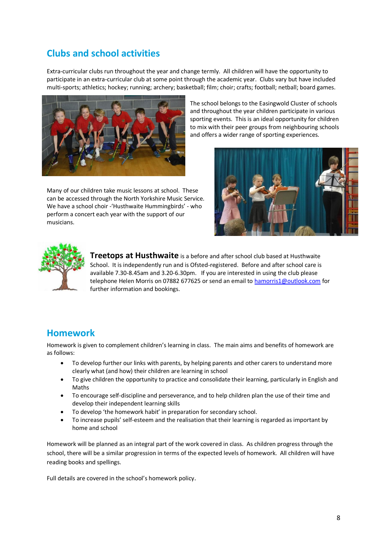### **Clubs and school activities**

Extra-curricular clubs run throughout the year and change termly. All children will have the opportunity to participate in an extra-curricular club at some point through the academic year. Clubs vary but have included multi-sports; athletics; hockey; running; archery; basketball; film; choir; crafts; football; netball; board games.



Many of our children take music lessons at school. These can be accessed through the North Yorkshire Music Service. We have a school choir -'Husthwaite Hummingbirds' - who perform a concert each year with the support of our musicians.

The school belongs to the Easingwold Cluster of schools and throughout the year children participate in various sporting events. This is an ideal opportunity for children to mix with their peer groups from neighbouring schools and offers a wider range of sporting experiences.





**Treetops at Husthwaite** is a before and after school club based at Husthwaite School. It is independently run and is Ofsted-registered. Before and after school care is available 7.30-8.45am and 3.20-6.30pm. If you are interested in using the club please telephone Helen Morris on 07882 677625 or send an email t[o hamorris1@outlook.com](mailto:hamorris1@outlook.com) for further information and bookings.

### **Homework**

Homework is given to complement children's learning in class. The main aims and benefits of homework are as follows:

- To develop further our links with parents, by helping parents and other carers to understand more clearly what (and how) their children are learning in school
- To give children the opportunity to practice and consolidate their learning, particularly in English and Maths
- To encourage self-discipline and perseverance, and to help children plan the use of their time and develop their independent learning skills
- To develop 'the homework habit' in preparation for secondary school.
- To increase pupils' self-esteem and the realisation that their learning is regarded as important by home and school

Homework will be planned as an integral part of the work covered in class. As children progress through the school, there will be a similar progression in terms of the expected levels of homework. All children will have reading books and spellings.

Full details are covered in the school's homework policy.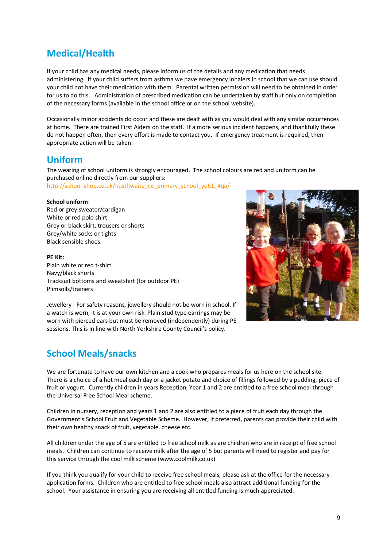### **Medical/Health**

If your child has any medical needs, please inform us of the details and any medication that needs administering. If your child suffers from asthma we have emergency inhalers in school that we can use should your child not have their medication with them. Parental written permission will need to be obtained in order for us to do this. Administration of prescribed medication can be undertaken by staff but only on completion of the necessary forms (available in the school office or on the school website).

Occasionally minor accidents do occur and these are dealt with as you would deal with any similar occurrences at home. There are trained First Aiders on the staff. If a more serious incident happens, and thankfully these do not happen often, then every effort is made to contact you. If emergency treatment is required, then appropriate action will be taken.

#### **Uniform**

The wearing of school uniform is strongly encouraged. The school colours are red and uniform can be purchased online directly from our suppliers:

[http://school-shop.co.uk/husthwaite\\_ce\\_primary\\_school\\_yo61\\_4qa/](http://school-shop.co.uk/husthwaite_ce_primary_school_yo61_4qa/)

#### **School uniform**:

Red or grey sweater/cardigan White or red polo shirt Grey or black skirt, trousers or shorts Grey/white socks or tights Black sensible shoes.

**PE Kit:**  Plain white or red t-shirt Navy/black shorts Tracksuit bottoms and sweatshirt (for outdoor PE)

Plimsolls/trainers Jewellery - For safety reasons, jewellery should not be worn in school. If a watch is worn, it is at your own risk. Plain stud type earrings may be worn with pierced ears but must be removed (independently) during PE sessions. This is in line with North Yorkshire County Council's policy.

### **School Meals/snacks**

We are fortunate to have our own kitchen and a cook who prepares meals for us here on the school site. There is a choice of a hot meal each day or a jacket potato and choice of fillings followed by a pudding, piece of fruit or yogurt. Currently children in years Reception, Year 1 and 2 are entitled to a free school meal through the Universal Free School Meal scheme.

Children in nursery, reception and years 1 and 2 are also entitled to a piece of fruit each day through the Government's School Fruit and Vegetable Scheme. However, if preferred, parents can provide their child with their own healthy snack of fruit, vegetable, cheese etc.

All children under the age of 5 are entitled to free school milk as are children who are in receipt of free school meals. Children can continue to receive milk after the age of 5 but parents will need to register and pay for this service through the cool milk scheme (www.coolmilk.co.uk)

If you think you qualify for your child to receive free school meals, please ask at the office for the necessary application forms. Children who are entitled to free school meals also attract additional funding for the school. Your assistance in ensuring you are receiving all entitled funding is much appreciated.